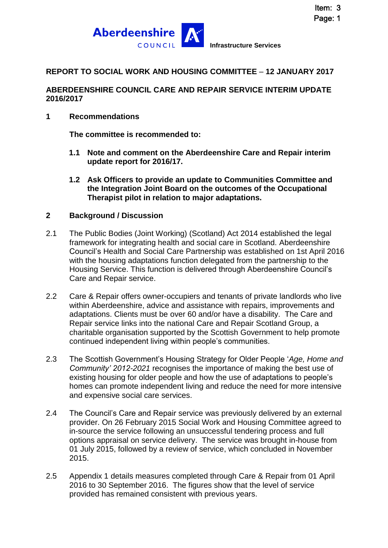

# **REPORT TO SOCIAL WORK AND HOUSING COMMITTEE** – **12 JANUARY 2017**

#### **ABERDEENSHIRE COUNCIL CARE AND REPAIR SERVICE INTERIM UPDATE 2016/2017**

#### **1 Recommendations**

**The committee is recommended to:**

- **1.1 Note and comment on the Aberdeenshire Care and Repair interim update report for 2016/17.**
- **1.2 Ask Officers to provide an update to Communities Committee and the Integration Joint Board on the outcomes of the Occupational Therapist pilot in relation to major adaptations.**

#### **2 Background / Discussion**

- 2.1 The Public Bodies (Joint Working) (Scotland) Act 2014 established the legal framework for integrating health and social care in Scotland. Aberdeenshire Council's Health and Social Care Partnership was established on 1st April 2016 with the housing adaptations function delegated from the partnership to the Housing Service. This function is delivered through Aberdeenshire Council's Care and Repair service.
- 2.2 Care & Repair offers owner-occupiers and tenants of private landlords who live within Aberdeenshire, advice and assistance with repairs, improvements and adaptations. Clients must be over 60 and/or have a disability. The Care and Repair service links into the national Care and Repair Scotland Group, a charitable organisation supported by the Scottish Government to help promote continued independent living within people's communities.
- 2.3 The Scottish Government's Housing Strategy for Older People '*Age, Home and Community' 2012-2021* recognises the importance of making the best use of existing housing for older people and how the use of adaptations to people's homes can promote independent living and reduce the need for more intensive and expensive social care services.
- 2.4 The Council's Care and Repair service was previously delivered by an external provider. On 26 February 2015 Social Work and Housing Committee agreed to in-source the service following an unsuccessful tendering process and full options appraisal on service delivery. The service was brought in-house from 01 July 2015, followed by a review of service, which concluded in November 2015.
- 2.5 Appendix 1 details measures completed through Care & Repair from 01 April 2016 to 30 September 2016. The figures show that the level of service provided has remained consistent with previous years.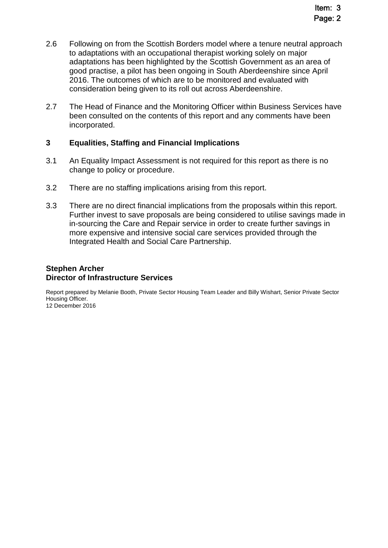- 2.6 Following on from the Scottish Borders model where a tenure neutral approach to adaptations with an occupational therapist working solely on major adaptations has been highlighted by the Scottish Government as an area of good practise, a pilot has been ongoing in South Aberdeenshire since April 2016. The outcomes of which are to be monitored and evaluated with consideration being given to its roll out across Aberdeenshire.
- 2.7 The Head of Finance and the Monitoring Officer within Business Services have been consulted on the contents of this report and any comments have been incorporated.

#### **3 Equalities, Staffing and Financial Implications**

- 3.1 An Equality Impact Assessment is not required for this report as there is no change to policy or procedure.
- 3.2 There are no staffing implications arising from this report.
- 3.3 There are no direct financial implications from the proposals within this report. Further invest to save proposals are being considered to utilise savings made in in-sourcing the Care and Repair service in order to create further savings in more expensive and intensive social care services provided through the Integrated Health and Social Care Partnership.

#### **Stephen Archer Director of Infrastructure Services**

Report prepared by Melanie Booth, Private Sector Housing Team Leader and Billy Wishart, Senior Private Sector Housing Officer.

12 December 2016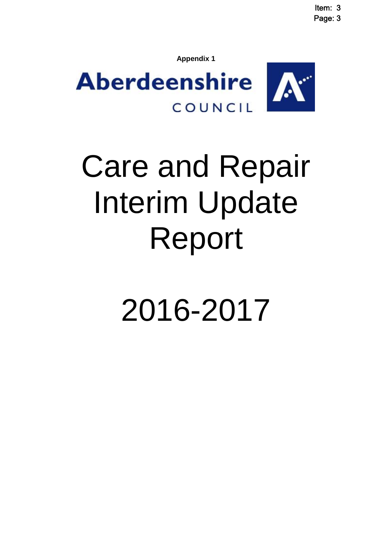Item: 3 Page: 3

**Appendix 1**



# Care and Repair Interim Update Report

2016-2017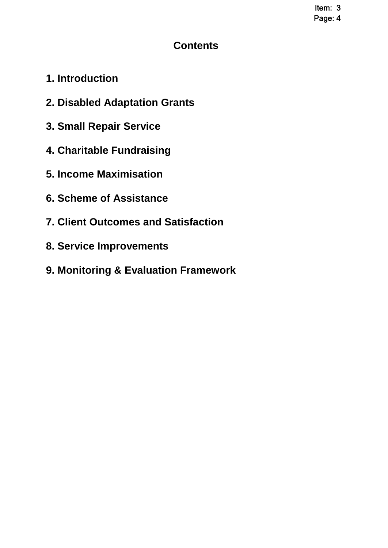Item: 3 Page: 4

# **Contents**

- **1. Introduction**
- **2. Disabled Adaptation Grants**
- **3. Small Repair Service**
- **4. Charitable Fundraising**
- **5. Income Maximisation**
- **6. Scheme of Assistance**
- **7. Client Outcomes and Satisfaction**
- **8. Service Improvements**
- **9. Monitoring & Evaluation Framework**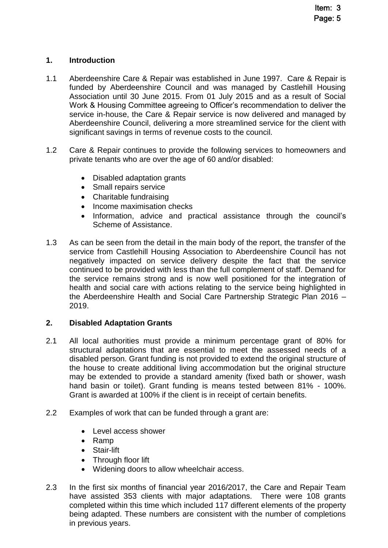# **1. Introduction**

- 1.1 Aberdeenshire Care & Repair was established in June 1997. Care & Repair is funded by Aberdeenshire Council and was managed by Castlehill Housing Association until 30 June 2015. From 01 July 2015 and as a result of Social Work & Housing Committee agreeing to Officer's recommendation to deliver the service in-house, the Care & Repair service is now delivered and managed by Aberdeenshire Council, delivering a more streamlined service for the client with significant savings in terms of revenue costs to the council.
- 1.2 Care & Repair continues to provide the following services to homeowners and private tenants who are over the age of 60 and/or disabled:
	- Disabled adaptation grants
	- Small repairs service
	- Charitable fundraising
	- Income maximisation checks
	- Information, advice and practical assistance through the council's Scheme of Assistance.
- 1.3 As can be seen from the detail in the main body of the report, the transfer of the service from Castlehill Housing Association to Aberdeenshire Council has not negatively impacted on service delivery despite the fact that the service continued to be provided with less than the full complement of staff. Demand for the service remains strong and is now well positioned for the integration of health and social care with actions relating to the service being highlighted in the Aberdeenshire Health and Social Care Partnership Strategic Plan 2016 – 2019.

#### **2. Disabled Adaptation Grants**

- 2.1 All local authorities must provide a minimum percentage grant of 80% for structural adaptations that are essential to meet the assessed needs of a disabled person. Grant funding is not provided to extend the original structure of the house to create additional living accommodation but the original structure may be extended to provide a standard amenity (fixed bath or shower, wash hand basin or toilet). Grant funding is means tested between 81% - 100%. Grant is awarded at 100% if the client is in receipt of certain benefits.
- 2.2 Examples of work that can be funded through a grant are:
	- Level access shower
	- Ramp
	- Stair-lift
	- Through floor lift
	- Widening doors to allow wheelchair access.
- 2.3 In the first six months of financial year 2016/2017, the Care and Repair Team have assisted 353 clients with major adaptations. There were 108 grants completed within this time which included 117 different elements of the property being adapted. These numbers are consistent with the number of completions in previous years.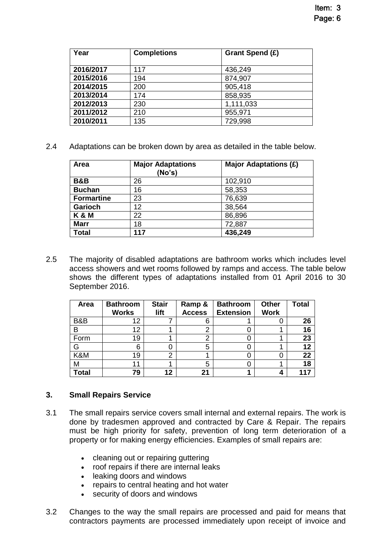| Year      | <b>Completions</b> | Grant Spend (£) |
|-----------|--------------------|-----------------|
| 2016/2017 | 117                | 436,249         |
| 2015/2016 | 194                | 874,907         |
| 2014/2015 | 200                | 905,418         |
| 2013/2014 | 174                | 858,935         |
| 2012/2013 | 230                | 1,111,033       |
| 2011/2012 | 210                | 955,971         |
| 2010/2011 | 135                | 729,998         |

2.4 Adaptations can be broken down by area as detailed in the table below.

| Area              | <b>Major Adaptations</b><br>(No's) | <b>Major Adaptations (£)</b> |
|-------------------|------------------------------------|------------------------------|
| <b>B&amp;B</b>    | 26                                 | 102,910                      |
| <b>Buchan</b>     | 16                                 | 58,353                       |
| <b>Formartine</b> | 23                                 | 76,639                       |
| <b>Garioch</b>    | 12                                 | 38,564                       |
| K & M             | 22                                 | 86,896                       |
| <b>Marr</b>       | 18                                 | 72,887                       |
| <b>Total</b>      | 117                                | 436,249                      |

2.5 The majority of disabled adaptations are bathroom works which includes level access showers and wet rooms followed by ramps and access. The table below shows the different types of adaptations installed from 01 April 2016 to 30 September 2016.

| Area         | <b>Bathroom</b><br><b>Works</b> | <b>Stair</b><br>lift | Ramp &<br><b>Access</b> | <b>Bathroom</b><br><b>Extension</b> | <b>Other</b><br><b>Work</b> | <b>Total</b> |
|--------------|---------------------------------|----------------------|-------------------------|-------------------------------------|-----------------------------|--------------|
| B&B          | 12                              |                      | 6                       |                                     |                             | 26           |
| B            | 12                              |                      | 2                       |                                     |                             | 16           |
| Form         | 19                              |                      | 2                       |                                     |                             | 23           |
| G            | 6                               |                      | 5                       |                                     |                             | 12           |
| K&M          | 19                              | ⌒                    |                         |                                     |                             | 22           |
| М            | 11                              |                      | 5                       |                                     |                             | 18           |
| <b>Total</b> | 79                              | 12                   | 21                      |                                     |                             | 117          |

# **3. Small Repairs Service**

- 3.1 The small repairs service covers small internal and external repairs. The work is done by tradesmen approved and contracted by Care & Repair. The repairs must be high priority for safety, prevention of long term deterioration of a property or for making energy efficiencies. Examples of small repairs are:
	- cleaning out or repairing guttering
	- roof repairs if there are internal leaks
	- leaking doors and windows
	- repairs to central heating and hot water
	- security of doors and windows
- 3.2 Changes to the way the small repairs are processed and paid for means that contractors payments are processed immediately upon receipt of invoice and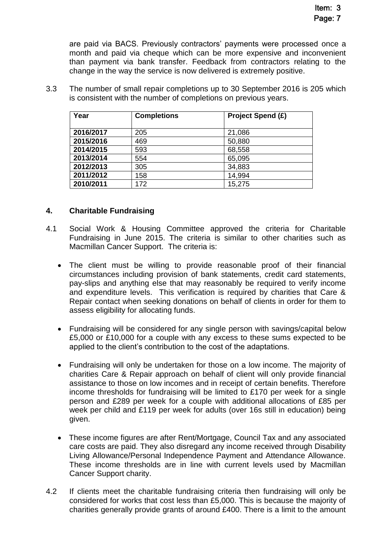are paid via BACS. Previously contractors' payments were processed once a month and paid via cheque which can be more expensive and inconvenient than payment via bank transfer. Feedback from contractors relating to the change in the way the service is now delivered is extremely positive.

3.3 The number of small repair completions up to 30 September 2016 is 205 which is consistent with the number of completions on previous years.

| Year      | <b>Completions</b> | <b>Project Spend (£)</b> |
|-----------|--------------------|--------------------------|
| 2016/2017 | 205                | 21,086                   |
| 2015/2016 | 469                | 50,880                   |
| 2014/2015 | 593                | 68,558                   |
| 2013/2014 | 554                | 65,095                   |
| 2012/2013 | 305                | 34,883                   |
| 2011/2012 | 158                | 14,994                   |
| 2010/2011 | 172                | 15,275                   |

### **4. Charitable Fundraising**

- 4.1 Social Work & Housing Committee approved the criteria for Charitable Fundraising in June 2015. The criteria is similar to other charities such as Macmillan Cancer Support. The criteria is:
	- The client must be willing to provide reasonable proof of their financial circumstances including provision of bank statements, credit card statements, pay-slips and anything else that may reasonably be required to verify income and expenditure levels. This verification is required by charities that Care & Repair contact when seeking donations on behalf of clients in order for them to assess eligibility for allocating funds.
	- Fundraising will be considered for any single person with savings/capital below £5,000 or £10,000 for a couple with any excess to these sums expected to be applied to the client's contribution to the cost of the adaptations.
	- Fundraising will only be undertaken for those on a low income. The majority of charities Care & Repair approach on behalf of client will only provide financial assistance to those on low incomes and in receipt of certain benefits. Therefore income thresholds for fundraising will be limited to £170 per week for a single person and £289 per week for a couple with additional allocations of £85 per week per child and £119 per week for adults (over 16s still in education) being given.
	- These income figures are after Rent/Mortgage, Council Tax and any associated care costs are paid. They also disregard any income received through Disability Living Allowance/Personal Independence Payment and Attendance Allowance. These income thresholds are in line with current levels used by Macmillan Cancer Support charity.
- 4.2 If clients meet the charitable fundraising criteria then fundraising will only be considered for works that cost less than £5,000. This is because the majority of charities generally provide grants of around £400. There is a limit to the amount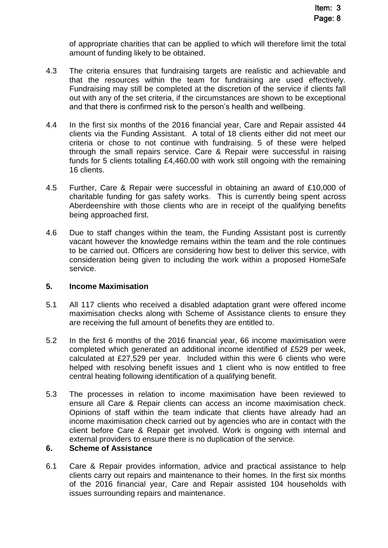of appropriate charities that can be applied to which will therefore limit the total amount of funding likely to be obtained.

- 4.3 The criteria ensures that fundraising targets are realistic and achievable and that the resources within the team for fundraising are used effectively. Fundraising may still be completed at the discretion of the service if clients fall out with any of the set criteria, if the circumstances are shown to be exceptional and that there is confirmed risk to the person's health and wellbeing.
- 4.4 In the first six months of the 2016 financial year, Care and Repair assisted 44 clients via the Funding Assistant. A total of 18 clients either did not meet our criteria or chose to not continue with fundraising. 5 of these were helped through the small repairs service. Care & Repair were successful in raising funds for 5 clients totalling £4,460.00 with work still ongoing with the remaining 16 clients.
- 4.5 Further, Care & Repair were successful in obtaining an award of £10,000 of charitable funding for gas safety works. This is currently being spent across Aberdeenshire with those clients who are in receipt of the qualifying benefits being approached first.
- 4.6 Due to staff changes within the team, the Funding Assistant post is currently vacant however the knowledge remains within the team and the role continues to be carried out. Officers are considering how best to deliver this service, with consideration being given to including the work within a proposed HomeSafe service.

#### **5. Income Maximisation**

- 5.1 All 117 clients who received a disabled adaptation grant were offered income maximisation checks along with Scheme of Assistance clients to ensure they are receiving the full amount of benefits they are entitled to.
- 5.2 In the first 6 months of the 2016 financial year, 66 income maximisation were completed which generated an additional income identified of £529 per week, calculated at £27,529 per year. Included within this were 6 clients who were helped with resolving benefit issues and 1 client who is now entitled to free central heating following identification of a qualifying benefit.
- 5.3 The processes in relation to income maximisation have been reviewed to ensure all Care & Repair clients can access an income maximisation check. Opinions of staff within the team indicate that clients have already had an income maximisation check carried out by agencies who are in contact with the client before Care & Repair get involved. Work is ongoing with internal and external providers to ensure there is no duplication of the service.

# **6. Scheme of Assistance**

6.1 Care & Repair provides information, advice and practical assistance to help clients carry out repairs and maintenance to their homes. In the first six months of the 2016 financial year, Care and Repair assisted 104 households with issues surrounding repairs and maintenance.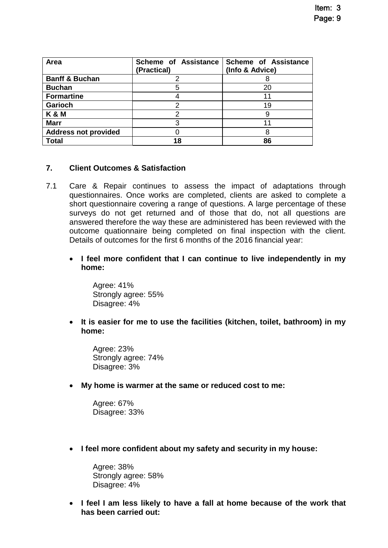| Area                        | Scheme of Assistance<br>(Practical) | <b>Scheme of Assistance</b><br>(Info & Advice) |
|-----------------------------|-------------------------------------|------------------------------------------------|
| <b>Banff &amp; Buchan</b>   |                                     |                                                |
| <b>Buchan</b>               |                                     | 20                                             |
| <b>Formartine</b>           |                                     |                                                |
| <b>Garioch</b>              |                                     | 19                                             |
| K & M                       |                                     |                                                |
| <b>Marr</b>                 |                                     |                                                |
| <b>Address not provided</b> |                                     | 8                                              |
| <b>Total</b>                | 18                                  | 86                                             |

# **7. Client Outcomes & Satisfaction**

- 7.1 Care & Repair continues to assess the impact of adaptations through questionnaires. Once works are completed, clients are asked to complete a short questionnaire covering a range of questions. A large percentage of these surveys do not get returned and of those that do, not all questions are answered therefore the way these are administered has been reviewed with the outcome quationnaire being completed on final inspection with the client. Details of outcomes for the first 6 months of the 2016 financial year:
	- **I feel more confident that I can continue to live independently in my home:**

Agree: 41% Strongly agree: 55% Disagree: 4%

 **It is easier for me to use the facilities (kitchen, toilet, bathroom) in my home:**

Agree: 23% Strongly agree: 74% Disagree: 3%

**My home is warmer at the same or reduced cost to me:**

Agree: 67% Disagree: 33%

**I feel more confident about my safety and security in my house:**

Agree: 38% Strongly agree: 58% Disagree: 4%

 **I feel I am less likely to have a fall at home because of the work that has been carried out:**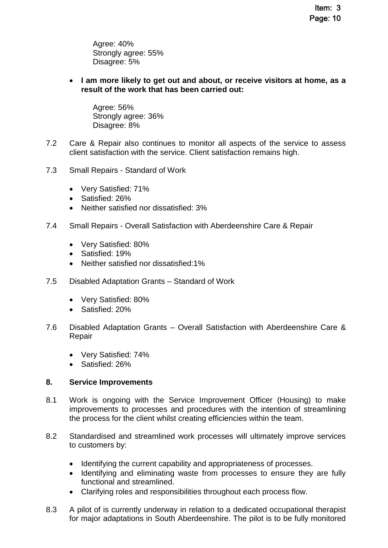Agree: 40% Strongly agree: 55% Disagree: 5%

 **I am more likely to get out and about, or receive visitors at home, as a result of the work that has been carried out:**

Agree: 56% Strongly agree: 36% Disagree: 8%

- 7.2 Care & Repair also continues to monitor all aspects of the service to assess client satisfaction with the service. Client satisfaction remains high.
- 7.3 Small Repairs Standard of Work
	- Very Satisfied: 71%
	- Satisfied: 26%
	- Neither satisfied nor dissatisfied: 3%
- 7.4 Small Repairs Overall Satisfaction with Aberdeenshire Care & Repair
	- Very Satisfied: 80%
	- Satisfied: 19%
	- Neither satisfied nor dissatisfied:1%
- 7.5 Disabled Adaptation Grants Standard of Work
	- Very Satisfied: 80%
	- Satisfied: 20%
- 7.6 Disabled Adaptation Grants Overall Satisfaction with Aberdeenshire Care & Repair
	- Very Satisfied: 74%
	- Satisfied: 26%

#### **8. Service Improvements**

- 8.1 Work is ongoing with the Service Improvement Officer (Housing) to make improvements to processes and procedures with the intention of streamlining the process for the client whilst creating efficiencies within the team.
- 8.2 Standardised and streamlined work processes will ultimately improve services to customers by:
	- Identifying the current capability and appropriateness of processes.
	- Identifying and eliminating waste from processes to ensure they are fully functional and streamlined.
	- Clarifying roles and responsibilities throughout each process flow.
- 8.3 A pilot of is currently underway in relation to a dedicated occupational therapist for major adaptations in South Aberdeenshire. The pilot is to be fully monitored